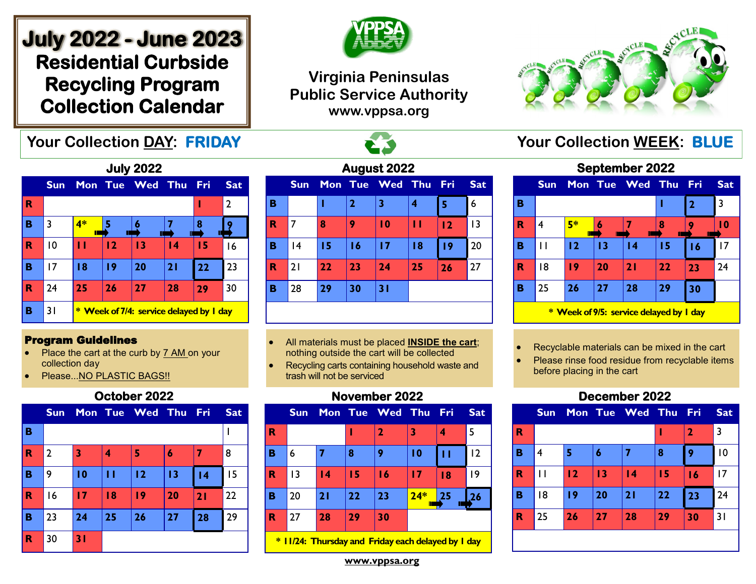# **July 2022 - June 2023 Residential Curbside Recycling Program Collection Calendar**





## **Virginia Peninsulas Public Service Authority www.vppsa.org**



| <b>July 2022</b> |            |                                         |    |             |                 |     |                |  |  |  |
|------------------|------------|-----------------------------------------|----|-------------|-----------------|-----|----------------|--|--|--|
|                  | <b>Sun</b> |                                         |    | Mon Tue Wed | Thu             | Fri | <b>Sat</b>     |  |  |  |
| R                |            |                                         |    |             |                 | ı   | $\overline{2}$ |  |  |  |
| в                | 3          | 4*                                      |    |             |                 | 8   |                |  |  |  |
| R                | 10         | П                                       | 12 | 13          | $\overline{14}$ | 15  | 16             |  |  |  |
| в                | 17         | 18                                      | 19 | 20          | 21              | 22  | 23             |  |  |  |
| R                | 24         | 25                                      | 26 | 27          | 28              | 29  | 30             |  |  |  |
| в                | 31         | * Week of 7/4: service delayed by I day |    |             |                 |     |                |  |  |  |

#### Program Guidelines

- Place the cart at the curb by 7 AM on your collection day
- Please...NO PLASTIC BAGS!!

### **October 2022**

|              | <b>Sun</b>     |    |    | Mon Tue Wed Thu Fri |    |    | <b>Sat</b> |
|--------------|----------------|----|----|---------------------|----|----|------------|
| B            |                |    |    |                     |    |    |            |
| $\mathbf R$  | $\overline{2}$ | 3  | 4  | 5                   | 6  |    | 8          |
| B            | 9              | 10 | П  | 12                  | 13 | 4  | 15         |
| $\mathbf R$  | 16             | 17 | 18 | 19                  | 20 | 21 | 22         |
| B            | 23             | 24 | 25 | 26                  | 27 | 28 | 29         |
| $\spadesuit$ | 30             | 31 |    |                     |    |    |            |

| August 2022 |            |    |                |                 |                  |     |                 |  |  |  |  |
|-------------|------------|----|----------------|-----------------|------------------|-----|-----------------|--|--|--|--|
|             | <b>Sun</b> |    |                | Mon Tue Wed     | <b>Thu</b>       | Fri | <b>Sat</b>      |  |  |  |  |
| в           |            |    | $\overline{2}$ | 3               | $\boldsymbol{4}$ | 5   | 6               |  |  |  |  |
| R           | 7          | 8  | 9              | $\overline{10}$ | П                | 12  | $\overline{13}$ |  |  |  |  |
| в           | 4          | 15 | 16             | 17              | 18               | 19  | 20              |  |  |  |  |
| R           | 21         | 22 | 23             | 24              | 25               | 26  | 27              |  |  |  |  |
| в           | 28         | 29 | 30             | 31              |                  |     |                 |  |  |  |  |
|             |            |    |                |                 |                  |     |                 |  |  |  |  |

- All materials must be placed **INSIDE the cart**; nothing outside the cart will be collected
- Recycling carts containing household waste and trash will not be serviced

## **November 2022**

|   | <b>Sun</b> |                 |    | Mon Tue Wed Thu Fri |       |    | <b>Sat</b> |
|---|------------|-----------------|----|---------------------|-------|----|------------|
| R |            |                 | ı  | 2                   | 3     |    | 5          |
| B | 6          |                 | 8  | 9                   | 10    | П  | 2          |
| R | 13         | $\overline{14}$ | 15 | 16                  | 17    | 18 | 9          |
| в | 20         | 21              | 22 | 23                  | $24*$ | 25 | 26         |
| R | 27         | 28              | 29 | 30                  |       |    |            |
|   |            |                 |    |                     |       |    |            |

**\* 11/24: Thursday and Friday each delayed by 1 day**

## **September 2022 Sun Mon Tue Wed Thu Fri Sat**

|                                         | --- |    | .  |    |    |    |    |  |  |  |
|-----------------------------------------|-----|----|----|----|----|----|----|--|--|--|
| в                                       |     |    |    |    |    | 2  | 3  |  |  |  |
| R                                       | 4   | 5* | Ш  |    | 8  |    | 10 |  |  |  |
| в                                       |     | 12 | 13 | 14 | 15 | 16 | 17 |  |  |  |
| R                                       | 18  | 19 | 20 | 21 | 22 | 23 | 24 |  |  |  |
| в                                       | 25  | 26 | 27 | 28 | 29 | 30 |    |  |  |  |
| * Week of 9/5: service delayed by I day |     |    |    |    |    |    |    |  |  |  |

• Recyclable materials can be mixed in the cart

Please rinse food residue from recyclable items before placing in the cart

## **December 2022**



**www.vppsa.org**